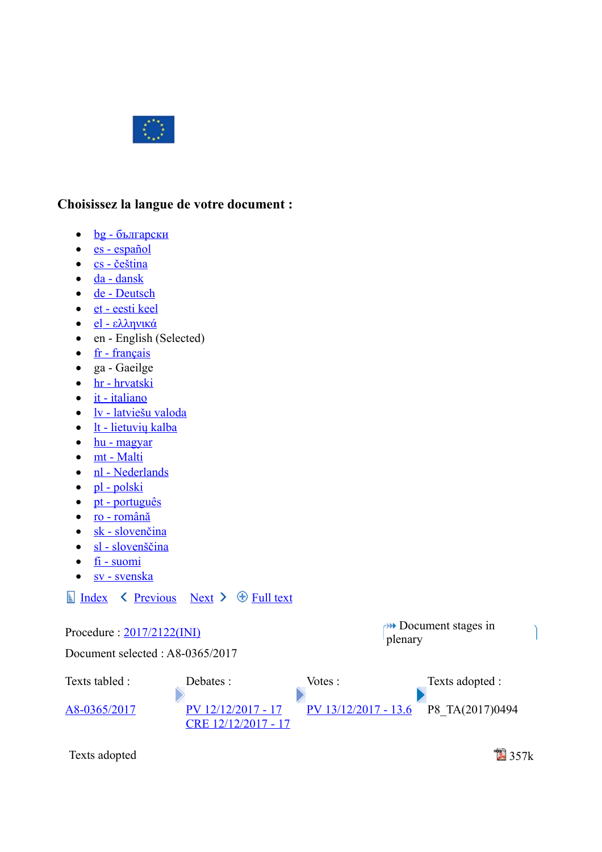

## **Choisissez la langue de votre document :**

- $\bullet$  <u>bg български</u>
- [es español](http://www.europarl.europa.eu/sides/getDoc.do?pubRef=-//EP//TEXT+TA+P8-TA-2017-0494+0+DOC+XML+V0//ES)
- $\text{cs}$  čeština
- $\bullet$   $\frac{da dansk}{a}$
- • [de Deutsch](http://www.europarl.europa.eu/sides/getDoc.do?pubRef=-//EP//TEXT+TA+P8-TA-2017-0494+0+DOC+XML+V0//DE)
- [et eesti keel](http://www.europarl.europa.eu/sides/getDoc.do?pubRef=-//EP//TEXT+TA+P8-TA-2017-0494+0+DOC+XML+V0//ET)
- [el ελληνικά](http://www.europarl.europa.eu/sides/getDoc.do?pubRef=-//EP//TEXT+TA+P8-TA-2017-0494+0+DOC+XML+V0//EL)
- en English (Selected)
- $\bullet$  [fr français](http://www.europarl.europa.eu/sides/getDoc.do?pubRef=-//EP//TEXT+TA+P8-TA-2017-0494+0+DOC+XML+V0//FR)
- ga Gaeilge
- • [hr hrvatski](http://www.europarl.europa.eu/sides/getDoc.do?pubRef=-//EP//TEXT+TA+P8-TA-2017-0494+0+DOC+XML+V0//HR)
- $\bullet$  [it italiano](http://www.europarl.europa.eu/sides/getDoc.do?pubRef=-//EP//TEXT+TA+P8-TA-2017-0494+0+DOC+XML+V0//IT)
- • [lv latviešu valoda](http://www.europarl.europa.eu/sides/getDoc.do?pubRef=-//EP//TEXT+TA+P8-TA-2017-0494+0+DOC+XML+V0//LV)
- $\bullet$  [lt lietuvių kalba](http://www.europarl.europa.eu/sides/getDoc.do?pubRef=-//EP//TEXT+TA+P8-TA-2017-0494+0+DOC+XML+V0//LT)
- $\bullet$   $\frac{hu magyar}{h}$
- $\bullet$  [mt Malti](http://www.europarl.europa.eu/sides/getDoc.do?pubRef=-//EP//TEXT+TA+P8-TA-2017-0494+0+DOC+XML+V0//MT)
- • [nl Nederlands](http://www.europarl.europa.eu/sides/getDoc.do?pubRef=-//EP//TEXT+TA+P8-TA-2017-0494+0+DOC+XML+V0//NL)
- $\bullet$  [pl polski](http://www.europarl.europa.eu/sides/getDoc.do?pubRef=-//EP//TEXT+TA+P8-TA-2017-0494+0+DOC+XML+V0//PL)
- [pt português](http://www.europarl.europa.eu/sides/getDoc.do?pubRef=-//EP//TEXT+TA+P8-TA-2017-0494+0+DOC+XML+V0//PT)
- [ro română](http://www.europarl.europa.eu/sides/getDoc.do?pubRef=-//EP//TEXT+TA+P8-TA-2017-0494+0+DOC+XML+V0//RO)
- $\bullet$  [sk slovenčina](http://www.europarl.europa.eu/sides/getDoc.do?pubRef=-//EP//TEXT+TA+P8-TA-2017-0494+0+DOC+XML+V0//SK)
- $\bullet$  [sl slovenščina](http://www.europarl.europa.eu/sides/getDoc.do?pubRef=-//EP//TEXT+TA+P8-TA-2017-0494+0+DOC+XML+V0//SL)
- $\bullet$  [fi suomi](http://www.europarl.europa.eu/sides/getDoc.do?pubRef=-//EP//TEXT+TA+P8-TA-2017-0494+0+DOC+XML+V0//FI)
- • [sv svenska](http://www.europarl.europa.eu/sides/getDoc.do?pubRef=-//EP//TEXT+TA+P8-TA-2017-0494+0+DOC+XML+V0//SV)

## $\Box$  [Index](http://www.europarl.europa.eu/sides/getDoc.do?pubRef=-//EP//TEXT+TA+20171213+TOC+DOC+XML+V0//EN&language=EN)  $\Diamond$  [Previous](http://www.europarl.europa.eu/sides/getDoc.do?pubRef=-//EP//TEXT+TA+P8-TA-2017-0493+0+DOC+XML+V0//EN&language=EN) [Next](http://www.europarl.europa.eu/sides/getDoc.do?pubRef=-//EP//TEXT+TA+P8-TA-2017-0495+0+DOC+XML+V0//EN&language=EN)  $\Diamond$  [Full text](http://www.europarl.europa.eu/sides/getDoc.do?pubRef=-//EP//TEXT+TA+20171213+ITEMS+DOC+XML+V0//EN&language=EN)

| Procedure: $2017/2122(NI)$<br>Document selected : A8-0365/2017 |                                             | $\rightarrow$ Document stages in<br>plenary |                 |
|----------------------------------------------------------------|---------------------------------------------|---------------------------------------------|-----------------|
|                                                                |                                             |                                             |                 |
| Texts tabled :                                                 | Debates:                                    | Votes :                                     | Texts adopted : |
| A8-0365/2017                                                   | PV 12/12/2017 - 17<br>CRE $12/12/2017 - 17$ | $PV$ 13/12/2017 - 13.6                      | P8 TA(2017)0494 |
|                                                                |                                             |                                             |                 |

Texts adopted 357k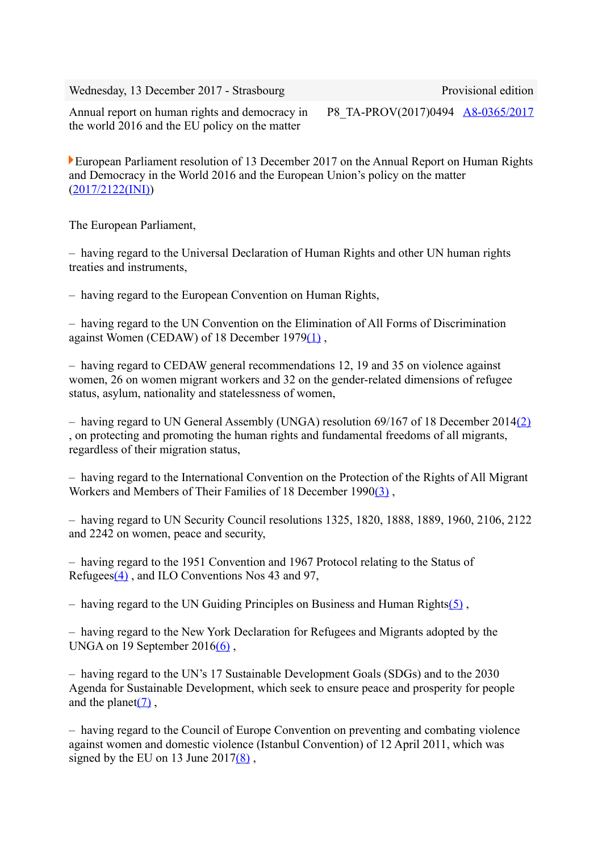Wednesday, 13 December 2017 - Strasbourg Provisional edition

Annual report on human rights and democracy in the world 2016 and the EU policy on the matter

P8\_TA-PROV(2017)0494 [A8-0365/2017](http://www.europarl.europa.eu/sides/getDoc.do?type=REPORT&reference=A8-2017-0365&language=EN)

European Parliament resolution of 13 December 2017 on the Annual Report on Human Rights and Democracy in the World 2016 and the European Union's policy on the matter [\(2017/2122\(INI\)\)](http://www.europarl.europa.eu/oeil/popups/ficheprocedure.do?lang=en&reference=2017/2122(INI))

The European Parliament,

– having regard to the Universal Declaration of Human Rights and other UN human rights treaties and instruments,

– having regard to the European Convention on Human Rights,

– having regard to the UN Convention on the Elimination of All Forms of Discrimination against Women (CEDAW) of 18 December 197[9\(1\)](http://www.europarl.europa.eu/sides/getDoc.do?pubRef=-//EP//TEXT+TA+P8-TA-2017-0494+0+DOC+XML+V0//EN#def_1_1) ,

– having regard to CEDAW general recommendations 12, 19 and 35 on violence against women, 26 on women migrant workers and 32 on the gender-related dimensions of refugee status, asylum, nationality and statelessness of women,

– having regard to UN General Assembly (UNGA) resolution 69/167 of 18 December 201[4\(2\)](http://www.europarl.europa.eu/sides/getDoc.do?pubRef=-//EP//TEXT+TA+P8-TA-2017-0494+0+DOC+XML+V0//EN#def_1_2) , on protecting and promoting the human rights and fundamental freedoms of all migrants, regardless of their migration status,

– having regard to the International Convention on the Protection of the Rights of All Migrant Workers and Members of Their Families of 18 December 199[0\(3\)](http://www.europarl.europa.eu/sides/getDoc.do?pubRef=-//EP//TEXT+TA+P8-TA-2017-0494+0+DOC+XML+V0//EN#def_1_3) ,

– having regard to UN Security Council resolutions 1325, 1820, 1888, 1889, 1960, 2106, 2122 and 2242 on women, peace and security,

– having regard to the 1951 Convention and 1967 Protocol relating to the Status of Refugee[s\(4\)](http://www.europarl.europa.eu/sides/getDoc.do?pubRef=-//EP//TEXT+TA+P8-TA-2017-0494+0+DOC+XML+V0//EN#def_1_4) , and ILO Conventions Nos 43 and 97,

 $-$  having regard to the UN Guiding Principles on Business and Human Rights(5).

– having regard to the New York Declaration for Refugees and Migrants adopted by the UNGA on 19 September  $2016(6)$ ,

– having regard to the UN's 17 Sustainable Development Goals (SDGs) and to the 2030 Agenda for Sustainable Development, which seek to ensure peace and prosperity for people and the planet $(7)$ ,

– having regard to the Council of Europe Convention on preventing and combating violence against women and domestic violence (Istanbul Convention) of 12 April 2011, which was signed by the EU on 13 June  $2017(8)$ ,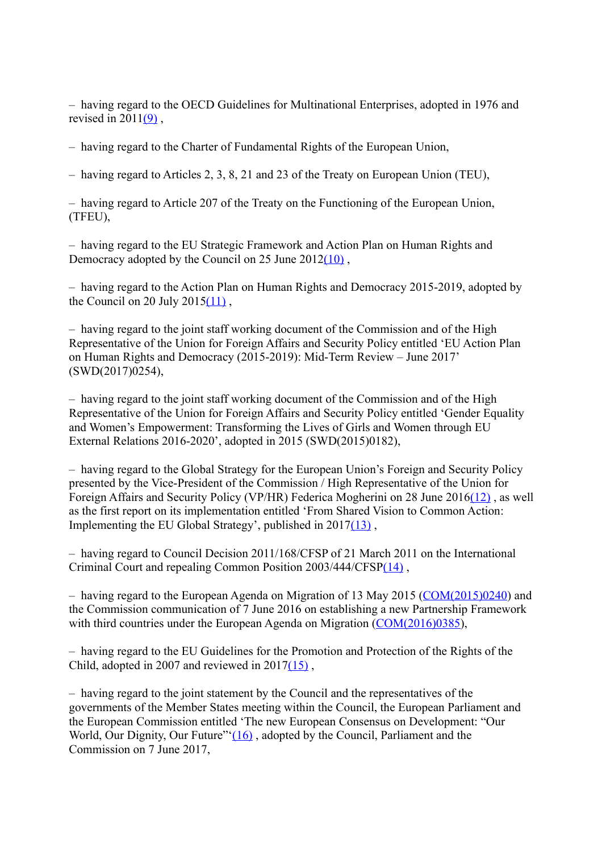– having regard to the OECD Guidelines for Multinational Enterprises, adopted in 1976 and revised in  $2011(9)$ ,

– having regard to the Charter of Fundamental Rights of the European Union,

– having regard to Articles 2, 3, 8, 21 and 23 of the Treaty on European Union (TEU),

– having regard to Article 207 of the Treaty on the Functioning of the European Union, (TFEU),

– having regard to the EU Strategic Framework and Action Plan on Human Rights and Democracy adopted by the Council on 25 June 2012(10),

– having regard to the Action Plan on Human Rights and Democracy 2015-2019, adopted by the Council on 20 July  $2015(11)$ ,

– having regard to the joint staff working document of the Commission and of the High Representative of the Union for Foreign Affairs and Security Policy entitled 'EU Action Plan on Human Rights and Democracy (2015-2019): Mid-Term Review – June 2017' (SWD(2017)0254),

– having regard to the joint staff working document of the Commission and of the High Representative of the Union for Foreign Affairs and Security Policy entitled 'Gender Equality and Women's Empowerment: Transforming the Lives of Girls and Women through EU External Relations 2016-2020', adopted in 2015 (SWD(2015)0182),

– having regard to the Global Strategy for the European Union's Foreign and Security Policy presented by the Vice-President of the Commission / High Representative of the Union for Foreign Affairs and Security Policy (VP/HR) Federica Mogherini on 28 June 201[6\(12\)](http://www.europarl.europa.eu/sides/getDoc.do?pubRef=-//EP//TEXT+TA+P8-TA-2017-0494+0+DOC+XML+V0//EN#def_1_12) , as well as the first report on its implementation entitled 'From Shared Vision to Common Action: Implementing the EU Global Strategy', published in 201[7\(13\)](http://www.europarl.europa.eu/sides/getDoc.do?pubRef=-//EP//TEXT+TA+P8-TA-2017-0494+0+DOC+XML+V0//EN#def_1_13) ,

– having regard to Council Decision 2011/168/CFSP of 21 March 2011 on the International Criminal Court and repealing Common Position 2003/444/CFS[P\(14\)](http://www.europarl.europa.eu/sides/getDoc.do?pubRef=-//EP//TEXT+TA+P8-TA-2017-0494+0+DOC+XML+V0//EN#def_1_14) ,

– having regard to the European Agenda on Migration of 13 May 2015 [\(COM\(2015\)0240\)](http://eur-lex.europa.eu/smartapi/cgi/sga_doc?smartapi!celexplus!prod!DocNumber&lg=EN&type_doc=COMfinal&an_doc=2015&nu_doc=0240) and the Commission communication of 7 June 2016 on establishing a new Partnership Framework with third countries under the European Agenda on Migration [\(COM\(2016\)0385\)](http://eur-lex.europa.eu/smartapi/cgi/sga_doc?smartapi!celexplus!prod!DocNumber&lg=EN&type_doc=COMfinal&an_doc=2016&nu_doc=0385),

– having regard to the EU Guidelines for the Promotion and Protection of the Rights of the Child, adopted in 2007 and reviewed in 201[7\(15\)](http://www.europarl.europa.eu/sides/getDoc.do?pubRef=-//EP//TEXT+TA+P8-TA-2017-0494+0+DOC+XML+V0//EN#def_1_15) ,

– having regard to the joint statement by the Council and the representatives of the governments of the Member States meeting within the Council, the European Parliament and the European Commission entitled 'The new European Consensus on Development: "Our World, Our Dignity, Our Future" $(16)$ , adopted by the Council, Parliament and the Commission on 7 June 2017,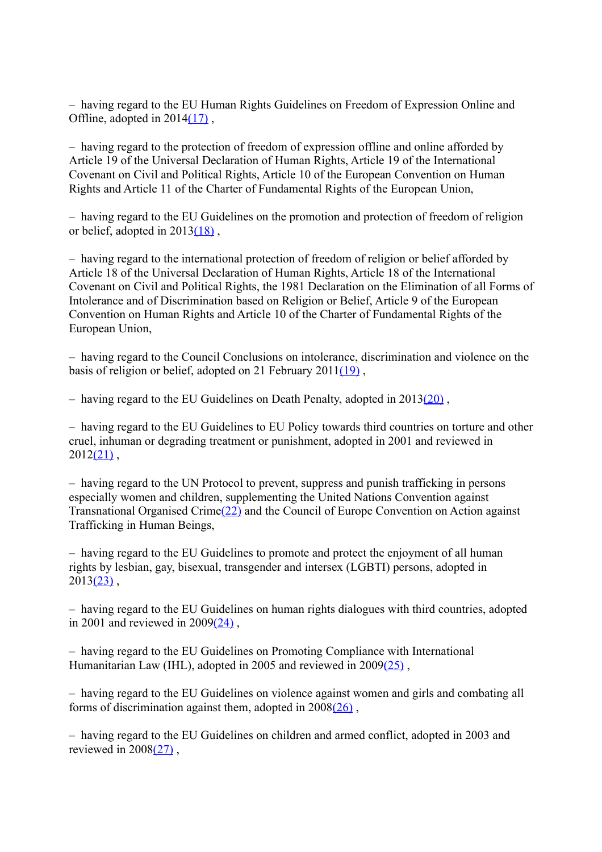– having regard to the EU Human Rights Guidelines on Freedom of Expression Online and Offline, adopted in 2014(17).

– having regard to the protection of freedom of expression offline and online afforded by Article 19 of the Universal Declaration of Human Rights, Article 19 of the International Covenant on Civil and Political Rights, Article 10 of the European Convention on Human Rights and Article 11 of the Charter of Fundamental Rights of the European Union,

– having regard to the EU Guidelines on the promotion and protection of freedom of religion or belief, adopted in  $2013(18)$ ,

– having regard to the international protection of freedom of religion or belief afforded by Article 18 of the Universal Declaration of Human Rights, Article 18 of the International Covenant on Civil and Political Rights, the 1981 Declaration on the Elimination of all Forms of Intolerance and of Discrimination based on Religion or Belief, Article 9 of the European Convention on Human Rights and Article 10 of the Charter of Fundamental Rights of the European Union,

– having regard to the Council Conclusions on intolerance, discrimination and violence on the basis of religion or belief, adopted on 21 February 201[1\(19\)](http://www.europarl.europa.eu/sides/getDoc.do?pubRef=-//EP//TEXT+TA+P8-TA-2017-0494+0+DOC+XML+V0//EN#def_1_19) ,

– having regard to the EU Guidelines on Death Penalty, adopted in  $2013(20)$ ,

– having regard to the EU Guidelines to EU Policy towards third countries on torture and other cruel, inhuman or degrading treatment or punishment, adopted in 2001 and reviewed in  $2012(21)$ ,

– having regard to the UN Protocol to prevent, suppress and punish trafficking in persons especially women and children, supplementing the United Nations Convention against Transnational Organised Crim[e\(22\)](http://www.europarl.europa.eu/sides/getDoc.do?pubRef=-//EP//TEXT+TA+P8-TA-2017-0494+0+DOC+XML+V0//EN#def_1_22) and the Council of Europe Convention on Action against Trafficking in Human Beings,

– having regard to the EU Guidelines to promote and protect the enjoyment of all human rights by lesbian, gay, bisexual, transgender and intersex (LGBTI) persons, adopted in  $2013(23)$ ,

– having regard to the EU Guidelines on human rights dialogues with third countries, adopted in 2001 and reviewed in  $2009(24)$ ,

– having regard to the EU Guidelines on Promoting Compliance with International Humanitarian Law (IHL), adopted in 2005 and reviewed in 2009(25),

– having regard to the EU Guidelines on violence against women and girls and combating all forms of discrimination against them, adopted in  $2008(26)$ .

– having regard to the EU Guidelines on children and armed conflict, adopted in 2003 and reviewed in 200[8\(27\)](http://www.europarl.europa.eu/sides/getDoc.do?pubRef=-//EP//TEXT+TA+P8-TA-2017-0494+0+DOC+XML+V0//EN#def_1_27) ,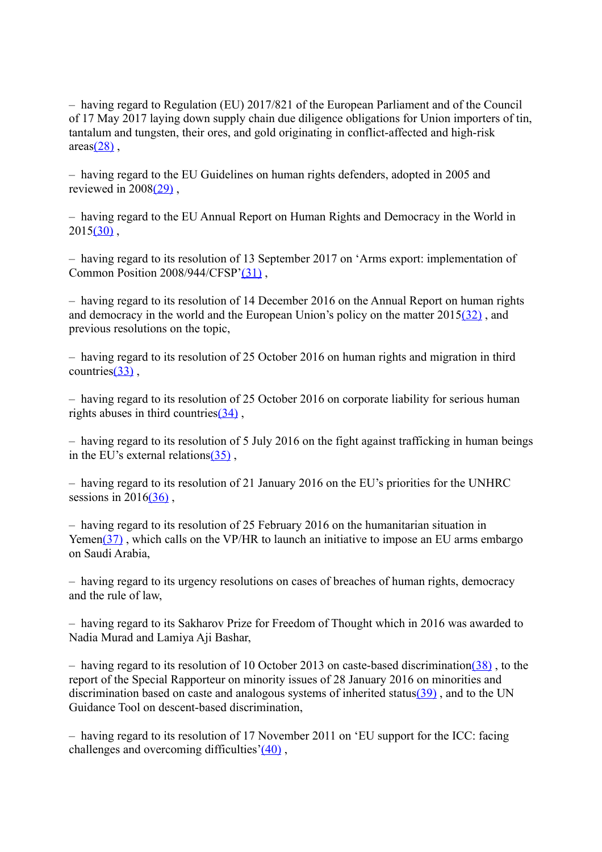– having regard to Regulation (EU) 2017/821 of the European Parliament and of the Council of 17 May 2017 laying down supply chain due diligence obligations for Union importers of tin, tantalum and tungsten, their ores, and gold originating in conflict-affected and high-risk  $area(28)$ ,

– having regard to the EU Guidelines on human rights defenders, adopted in 2005 and reviewed in 200[8\(29\)](http://www.europarl.europa.eu/sides/getDoc.do?pubRef=-//EP//TEXT+TA+P8-TA-2017-0494+0+DOC+XML+V0//EN#def_1_29) ,

– having regard to the EU Annual Report on Human Rights and Democracy in the World in  $2015(30)$ .

– having regard to its resolution of 13 September 2017 on 'Arms export: implementation of Common Position 2008/944/CFSP['\(31\)](http://www.europarl.europa.eu/sides/getDoc.do?pubRef=-//EP//TEXT+TA+P8-TA-2017-0494+0+DOC+XML+V0//EN#def_1_31) ,

– having regard to its resolution of 14 December 2016 on the Annual Report on human rights and democracy in the world and the European Union's policy on the matter 201[5\(32\)](http://www.europarl.europa.eu/sides/getDoc.do?pubRef=-//EP//TEXT+TA+P8-TA-2017-0494+0+DOC+XML+V0//EN#def_1_32) , and previous resolutions on the topic,

– having regard to its resolution of 25 October 2016 on human rights and migration in third countrie[s\(33\)](http://www.europarl.europa.eu/sides/getDoc.do?pubRef=-//EP//TEXT+TA+P8-TA-2017-0494+0+DOC+XML+V0//EN#def_1_33) ,

– having regard to its resolution of 25 October 2016 on corporate liability for serious human rights abuses in third countries $(34)$ ,

– having regard to its resolution of 5 July 2016 on the fight against trafficking in human beings in the EU's external relations $(35)$ .

– having regard to its resolution of 21 January 2016 on the EU's priorities for the UNHRC sessions in  $2016(36)$ ,

– having regard to its resolution of 25 February 2016 on the humanitarian situation in Yemen(37), which calls on the VP/HR to launch an initiative to impose an EU arms embargo on Saudi Arabia,

– having regard to its urgency resolutions on cases of breaches of human rights, democracy and the rule of law,

– having regard to its Sakharov Prize for Freedom of Thought which in 2016 was awarded to Nadia Murad and Lamiya Aji Bashar,

– having regard to its resolution of 10 October 2013 on caste-based discrimination( $\frac{38}{30}$ , to the report of the Special Rapporteur on minority issues of 28 January 2016 on minorities and discrimination based on caste and analogous systems of inherited statu[s\(39\)](http://www.europarl.europa.eu/sides/getDoc.do?pubRef=-//EP//TEXT+TA+P8-TA-2017-0494+0+DOC+XML+V0//EN#def_1_39) , and to the UN Guidance Tool on descent-based discrimination,

– having regard to its resolution of 17 November 2011 on 'EU support for the ICC: facing challenges and overcoming difficulties['\(40\)](http://www.europarl.europa.eu/sides/getDoc.do?pubRef=-//EP//TEXT+TA+P8-TA-2017-0494+0+DOC+XML+V0//EN#def_1_40) ,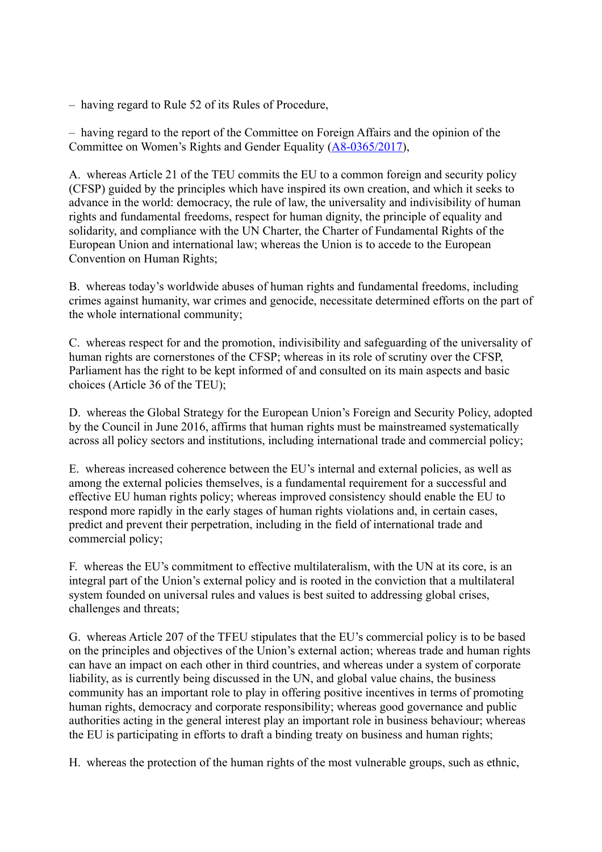– having regard to Rule 52 of its Rules of Procedure,

– having regard to the report of the Committee on Foreign Affairs and the opinion of the Committee on Women's Rights and Gender Equality [\(A8-0365/2017\)](http://www.europarl.europa.eu/sides/getDoc.do?type=REPORT&reference=A8-2017-0365&language=EN),

A. whereas Article 21 of the TEU commits the EU to a common foreign and security policy (CFSP) guided by the principles which have inspired its own creation, and which it seeks to advance in the world: democracy, the rule of law, the universality and indivisibility of human rights and fundamental freedoms, respect for human dignity, the principle of equality and solidarity, and compliance with the UN Charter, the Charter of Fundamental Rights of the European Union and international law; whereas the Union is to accede to the European Convention on Human Rights;

B. whereas today's worldwide abuses of human rights and fundamental freedoms, including crimes against humanity, war crimes and genocide, necessitate determined efforts on the part of the whole international community;

C. whereas respect for and the promotion, indivisibility and safeguarding of the universality of human rights are cornerstones of the CFSP; whereas in its role of scrutiny over the CFSP, Parliament has the right to be kept informed of and consulted on its main aspects and basic choices (Article 36 of the TEU);

D. whereas the Global Strategy for the European Union's Foreign and Security Policy, adopted by the Council in June 2016, affirms that human rights must be mainstreamed systematically across all policy sectors and institutions, including international trade and commercial policy;

E. whereas increased coherence between the EU's internal and external policies, as well as among the external policies themselves, is a fundamental requirement for a successful and effective EU human rights policy; whereas improved consistency should enable the EU to respond more rapidly in the early stages of human rights violations and, in certain cases, predict and prevent their perpetration, including in the field of international trade and commercial policy;

F. whereas the EU's commitment to effective multilateralism, with the UN at its core, is an integral part of the Union's external policy and is rooted in the conviction that a multilateral system founded on universal rules and values is best suited to addressing global crises, challenges and threats;

G. whereas Article 207 of the TFEU stipulates that the EU's commercial policy is to be based on the principles and objectives of the Union's external action; whereas trade and human rights can have an impact on each other in third countries, and whereas under a system of corporate liability, as is currently being discussed in the UN, and global value chains, the business community has an important role to play in offering positive incentives in terms of promoting human rights, democracy and corporate responsibility; whereas good governance and public authorities acting in the general interest play an important role in business behaviour; whereas the EU is participating in efforts to draft a binding treaty on business and human rights;

H. whereas the protection of the human rights of the most vulnerable groups, such as ethnic,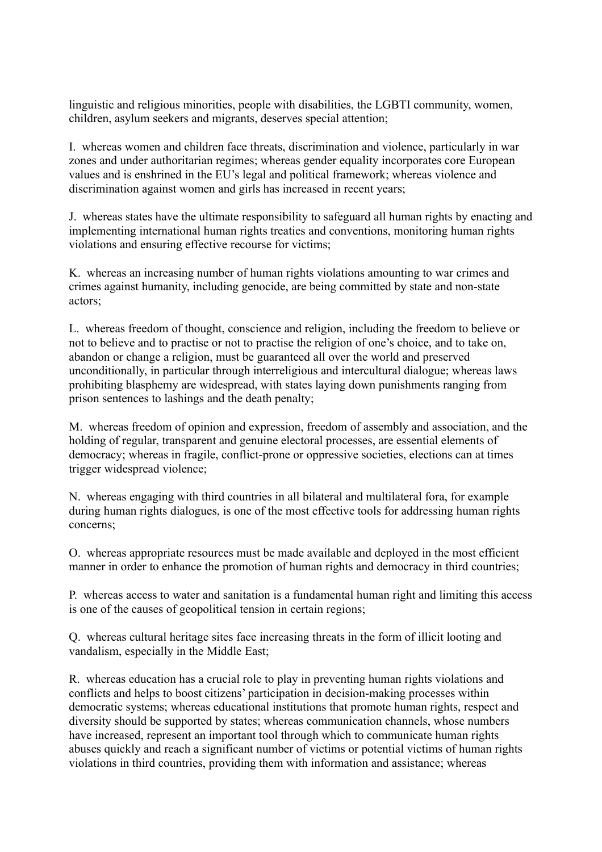linguistic and religious minorities, people with disabilities, the LGBTI community, women, children, asylum seekers and migrants, deserves special attention;

I. whereas women and children face threats, discrimination and violence, particularly in war zones and under authoritarian regimes; whereas gender equality incorporates core European values and is enshrined in the EU's legal and political framework; whereas violence and discrimination against women and girls has increased in recent years;

J. whereas states have the ultimate responsibility to safeguard all human rights by enacting and implementing international human rights treaties and conventions, monitoring human rights violations and ensuring effective recourse for victims;

K. whereas an increasing number of human rights violations amounting to war crimes and crimes against humanity, including genocide, are being committed by state and non-state actors;

L. whereas freedom of thought, conscience and religion, including the freedom to believe or not to believe and to practise or not to practise the religion of one's choice, and to take on, abandon or change a religion, must be guaranteed all over the world and preserved unconditionally, in particular through interreligious and intercultural dialogue; whereas laws prohibiting blasphemy are widespread, with states laying down punishments ranging from prison sentences to lashings and the death penalty;

M. whereas freedom of opinion and expression, freedom of assembly and association, and the holding of regular, transparent and genuine electoral processes, are essential elements of democracy; whereas in fragile, conflict-prone or oppressive societies, elections can at times trigger widespread violence;

N. whereas engaging with third countries in all bilateral and multilateral fora, for example during human rights dialogues, is one of the most effective tools for addressing human rights concerns;

O. whereas appropriate resources must be made available and deployed in the most efficient manner in order to enhance the promotion of human rights and democracy in third countries;

P. whereas access to water and sanitation is a fundamental human right and limiting this access is one of the causes of geopolitical tension in certain regions;

Q. whereas cultural heritage sites face increasing threats in the form of illicit looting and vandalism, especially in the Middle East;

R. whereas education has a crucial role to play in preventing human rights violations and conflicts and helps to boost citizens' participation in decision-making processes within democratic systems; whereas educational institutions that promote human rights, respect and diversity should be supported by states; whereas communication channels, whose numbers have increased, represent an important tool through which to communicate human rights abuses quickly and reach a significant number of victims or potential victims of human rights violations in third countries, providing them with information and assistance; whereas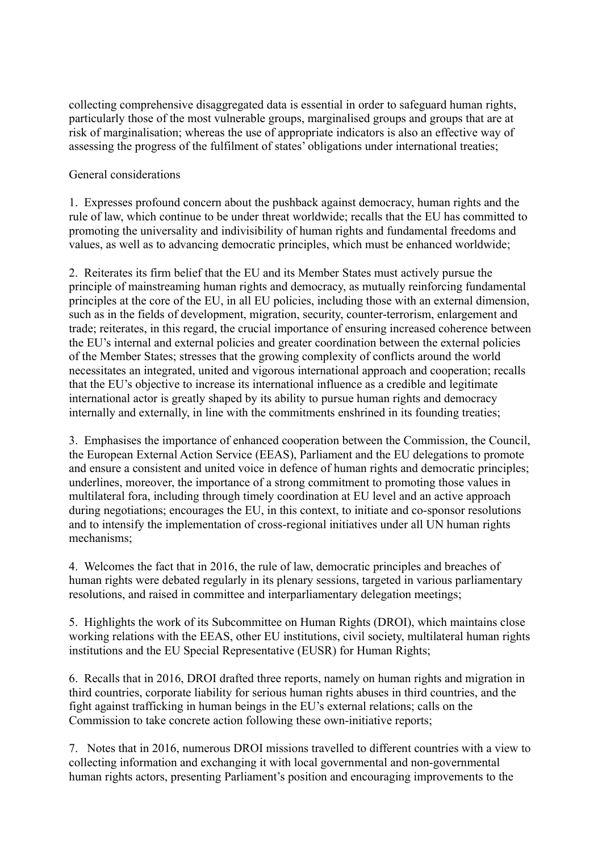collecting comprehensive disaggregated data is essential in order to safeguard human rights, particularly those of the most vulnerable groups, marginalised groups and groups that are at risk of marginalisation; whereas the use of appropriate indicators is also an effective way of assessing the progress of the fulfilment of states' obligations under international treaties;

## General considerations

1. Expresses profound concern about the pushback against democracy, human rights and the rule of law, which continue to be under threat worldwide; recalls that the EU has committed to promoting the universality and indivisibility of human rights and fundamental freedoms and values, as well as to advancing democratic principles, which must be enhanced worldwide;

2. Reiterates its firm belief that the EU and its Member States must actively pursue the principle of mainstreaming human rights and democracy, as mutually reinforcing fundamental principles at the core of the EU, in all EU policies, including those with an external dimension, such as in the fields of development, migration, security, counter-terrorism, enlargement and trade; reiterates, in this regard, the crucial importance of ensuring increased coherence between the EU's internal and external policies and greater coordination between the external policies of the Member States; stresses that the growing complexity of conflicts around the world necessitates an integrated, united and vigorous international approach and cooperation; recalls that the EU's objective to increase its international influence as a credible and legitimate international actor is greatly shaped by its ability to pursue human rights and democracy internally and externally, in line with the commitments enshrined in its founding treaties;

3. Emphasises the importance of enhanced cooperation between the Commission, the Council, the European External Action Service (EEAS), Parliament and the EU delegations to promote and ensure a consistent and united voice in defence of human rights and democratic principles; underlines, moreover, the importance of a strong commitment to promoting those values in multilateral fora, including through timely coordination at EU level and an active approach during negotiations; encourages the EU, in this context, to initiate and co-sponsor resolutions and to intensify the implementation of cross-regional initiatives under all UN human rights mechanisms;

4. Welcomes the fact that in 2016, the rule of law, democratic principles and breaches of human rights were debated regularly in its plenary sessions, targeted in various parliamentary resolutions, and raised in committee and interparliamentary delegation meetings;

5. Highlights the work of its Subcommittee on Human Rights (DROI), which maintains close working relations with the EEAS, other EU institutions, civil society, multilateral human rights institutions and the EU Special Representative (EUSR) for Human Rights;

6. Recalls that in 2016, DROI drafted three reports, namely on human rights and migration in third countries, corporate liability for serious human rights abuses in third countries, and the fight against trafficking in human beings in the EU's external relations; calls on the Commission to take concrete action following these own-initiative reports;

7. Notes that in 2016, numerous DROI missions travelled to different countries with a view to collecting information and exchanging it with local governmental and non-governmental human rights actors, presenting Parliament's position and encouraging improvements to the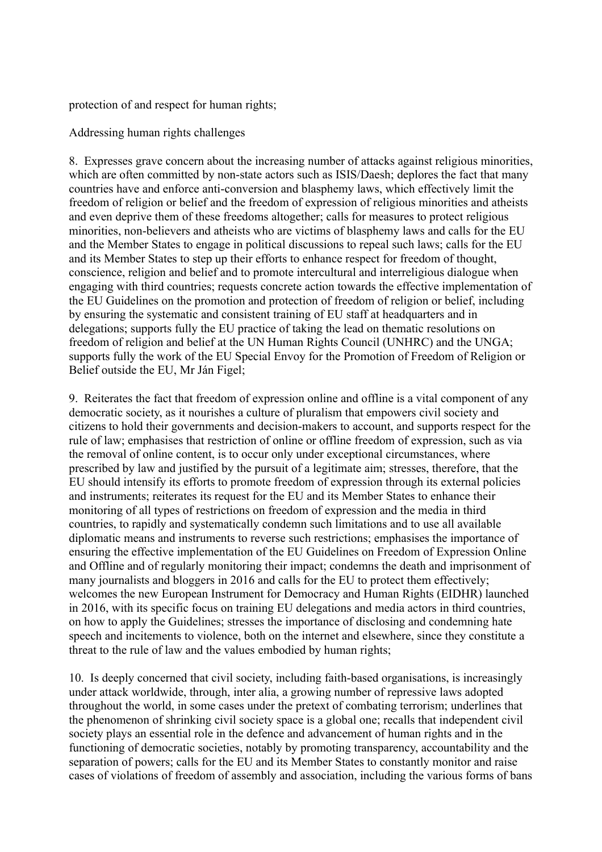protection of and respect for human rights;

Addressing human rights challenges

8. Expresses grave concern about the increasing number of attacks against religious minorities, which are often committed by non-state actors such as ISIS/Daesh; deplores the fact that many countries have and enforce anti-conversion and blasphemy laws, which effectively limit the freedom of religion or belief and the freedom of expression of religious minorities and atheists and even deprive them of these freedoms altogether; calls for measures to protect religious minorities, non-believers and atheists who are victims of blasphemy laws and calls for the EU and the Member States to engage in political discussions to repeal such laws; calls for the EU and its Member States to step up their efforts to enhance respect for freedom of thought, conscience, religion and belief and to promote intercultural and interreligious dialogue when engaging with third countries; requests concrete action towards the effective implementation of the EU Guidelines on the promotion and protection of freedom of religion or belief, including by ensuring the systematic and consistent training of EU staff at headquarters and in delegations; supports fully the EU practice of taking the lead on thematic resolutions on freedom of religion and belief at the UN Human Rights Council (UNHRC) and the UNGA; supports fully the work of the EU Special Envoy for the Promotion of Freedom of Religion or Belief outside the EU, Mr Ján Figel;

9. Reiterates the fact that freedom of expression online and offline is a vital component of any democratic society, as it nourishes a culture of pluralism that empowers civil society and citizens to hold their governments and decision-makers to account, and supports respect for the rule of law; emphasises that restriction of online or offline freedom of expression, such as via the removal of online content, is to occur only under exceptional circumstances, where prescribed by law and justified by the pursuit of a legitimate aim; stresses, therefore, that the EU should intensify its efforts to promote freedom of expression through its external policies and instruments; reiterates its request for the EU and its Member States to enhance their monitoring of all types of restrictions on freedom of expression and the media in third countries, to rapidly and systematically condemn such limitations and to use all available diplomatic means and instruments to reverse such restrictions; emphasises the importance of ensuring the effective implementation of the EU Guidelines on Freedom of Expression Online and Offline and of regularly monitoring their impact; condemns the death and imprisonment of many journalists and bloggers in 2016 and calls for the EU to protect them effectively; welcomes the new European Instrument for Democracy and Human Rights (EIDHR) launched in 2016, with its specific focus on training EU delegations and media actors in third countries, on how to apply the Guidelines; stresses the importance of disclosing and condemning hate speech and incitements to violence, both on the internet and elsewhere, since they constitute a threat to the rule of law and the values embodied by human rights;

10. Is deeply concerned that civil society, including faith-based organisations, is increasingly under attack worldwide, through, inter alia, a growing number of repressive laws adopted throughout the world, in some cases under the pretext of combating terrorism; underlines that the phenomenon of shrinking civil society space is a global one; recalls that independent civil society plays an essential role in the defence and advancement of human rights and in the functioning of democratic societies, notably by promoting transparency, accountability and the separation of powers; calls for the EU and its Member States to constantly monitor and raise cases of violations of freedom of assembly and association, including the various forms of bans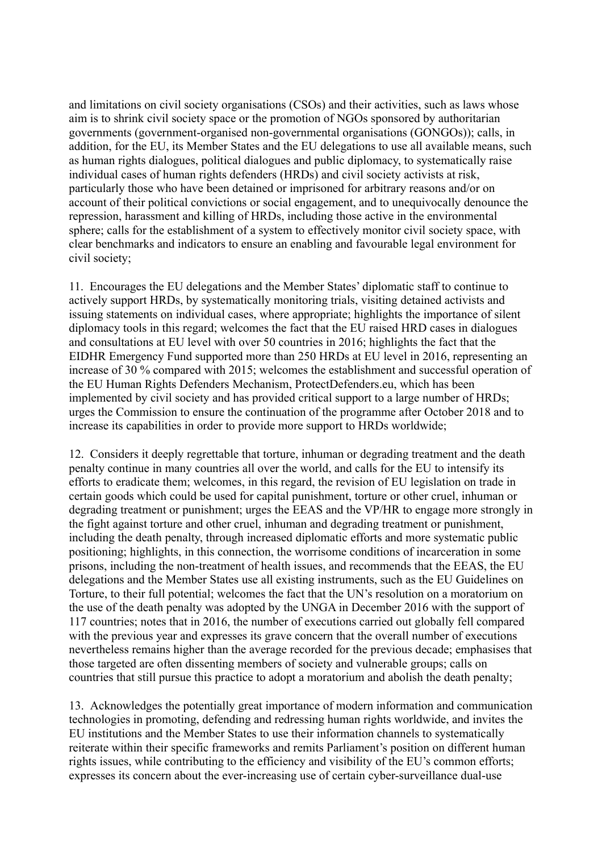and limitations on civil society organisations (CSOs) and their activities, such as laws whose aim is to shrink civil society space or the promotion of NGOs sponsored by authoritarian governments (government-organised non-governmental organisations (GONGOs)); calls, in addition, for the EU, its Member States and the EU delegations to use all available means, such as human rights dialogues, political dialogues and public diplomacy, to systematically raise individual cases of human rights defenders (HRDs) and civil society activists at risk, particularly those who have been detained or imprisoned for arbitrary reasons and/or on account of their political convictions or social engagement, and to unequivocally denounce the repression, harassment and killing of HRDs, including those active in the environmental sphere; calls for the establishment of a system to effectively monitor civil society space, with clear benchmarks and indicators to ensure an enabling and favourable legal environment for civil society;

11. Encourages the EU delegations and the Member States' diplomatic staff to continue to actively support HRDs, by systematically monitoring trials, visiting detained activists and issuing statements on individual cases, where appropriate; highlights the importance of silent diplomacy tools in this regard; welcomes the fact that the EU raised HRD cases in dialogues and consultations at EU level with over 50 countries in 2016; highlights the fact that the EIDHR Emergency Fund supported more than 250 HRDs at EU level in 2016, representing an increase of 30 % compared with 2015; welcomes the establishment and successful operation of the EU Human Rights Defenders Mechanism, ProtectDefenders.eu, which has been implemented by civil society and has provided critical support to a large number of HRDs; urges the Commission to ensure the continuation of the programme after October 2018 and to increase its capabilities in order to provide more support to HRDs worldwide;

12. Considers it deeply regrettable that torture, inhuman or degrading treatment and the death penalty continue in many countries all over the world, and calls for the EU to intensify its efforts to eradicate them; welcomes, in this regard, the revision of EU legislation on trade in certain goods which could be used for capital punishment, torture or other cruel, inhuman or degrading treatment or punishment; urges the EEAS and the VP/HR to engage more strongly in the fight against torture and other cruel, inhuman and degrading treatment or punishment, including the death penalty, through increased diplomatic efforts and more systematic public positioning; highlights, in this connection, the worrisome conditions of incarceration in some prisons, including the non-treatment of health issues, and recommends that the EEAS, the EU delegations and the Member States use all existing instruments, such as the EU Guidelines on Torture, to their full potential; welcomes the fact that the UN's resolution on a moratorium on the use of the death penalty was adopted by the UNGA in December 2016 with the support of 117 countries; notes that in 2016, the number of executions carried out globally fell compared with the previous year and expresses its grave concern that the overall number of executions nevertheless remains higher than the average recorded for the previous decade; emphasises that those targeted are often dissenting members of society and vulnerable groups; calls on countries that still pursue this practice to adopt a moratorium and abolish the death penalty;

13. Acknowledges the potentially great importance of modern information and communication technologies in promoting, defending and redressing human rights worldwide, and invites the EU institutions and the Member States to use their information channels to systematically reiterate within their specific frameworks and remits Parliament's position on different human rights issues, while contributing to the efficiency and visibility of the EU's common efforts; expresses its concern about the ever-increasing use of certain cyber-surveillance dual-use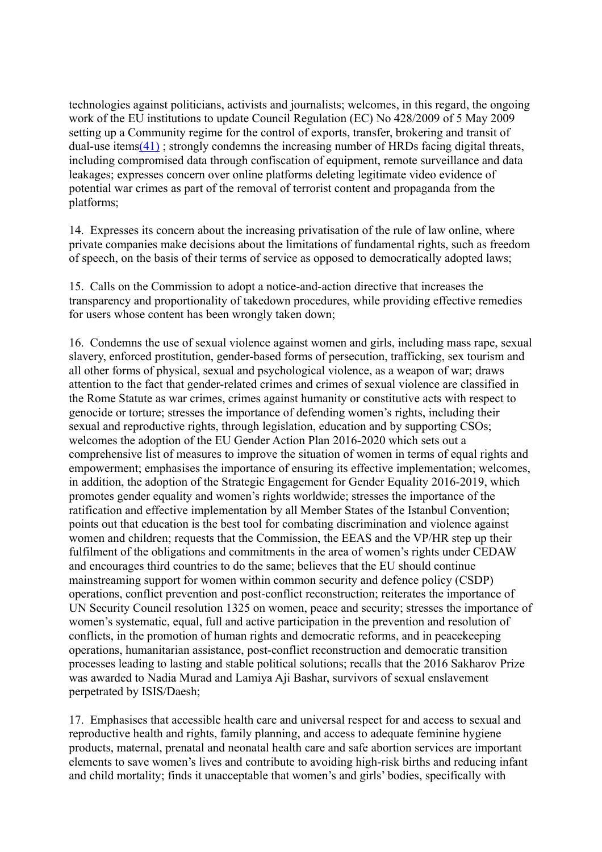technologies against politicians, activists and journalists; welcomes, in this regard, the ongoing work of the EU institutions to update Council Regulation (EC) No 428/2009 of 5 May 2009 setting up a Community regime for the control of exports, transfer, brokering and transit of dual-use items $(41)$ ; strongly condemns the increasing number of HRDs facing digital threats, including compromised data through confiscation of equipment, remote surveillance and data leakages; expresses concern over online platforms deleting legitimate video evidence of potential war crimes as part of the removal of terrorist content and propaganda from the platforms;

14. Expresses its concern about the increasing privatisation of the rule of law online, where private companies make decisions about the limitations of fundamental rights, such as freedom of speech, on the basis of their terms of service as opposed to democratically adopted laws;

15. Calls on the Commission to adopt a notice-and-action directive that increases the transparency and proportionality of takedown procedures, while providing effective remedies for users whose content has been wrongly taken down;

16. Condemns the use of sexual violence against women and girls, including mass rape, sexual slavery, enforced prostitution, gender-based forms of persecution, trafficking, sex tourism and all other forms of physical, sexual and psychological violence, as a weapon of war; draws attention to the fact that gender-related crimes and crimes of sexual violence are classified in the Rome Statute as war crimes, crimes against humanity or constitutive acts with respect to genocide or torture; stresses the importance of defending women's rights, including their sexual and reproductive rights, through legislation, education and by supporting CSOs; welcomes the adoption of the EU Gender Action Plan 2016-2020 which sets out a comprehensive list of measures to improve the situation of women in terms of equal rights and empowerment; emphasises the importance of ensuring its effective implementation; welcomes, in addition, the adoption of the Strategic Engagement for Gender Equality 2016-2019, which promotes gender equality and women's rights worldwide; stresses the importance of the ratification and effective implementation by all Member States of the Istanbul Convention; points out that education is the best tool for combating discrimination and violence against women and children; requests that the Commission, the EEAS and the VP/HR step up their fulfilment of the obligations and commitments in the area of women's rights under CEDAW and encourages third countries to do the same; believes that the EU should continue mainstreaming support for women within common security and defence policy (CSDP) operations, conflict prevention and post-conflict reconstruction; reiterates the importance of UN Security Council resolution 1325 on women, peace and security; stresses the importance of women's systematic, equal, full and active participation in the prevention and resolution of conflicts, in the promotion of human rights and democratic reforms, and in peacekeeping operations, humanitarian assistance, post-conflict reconstruction and democratic transition processes leading to lasting and stable political solutions; recalls that the 2016 Sakharov Prize was awarded to Nadia Murad and Lamiya Aji Bashar, survivors of sexual enslavement perpetrated by ISIS/Daesh;

17. Emphasises that accessible health care and universal respect for and access to sexual and reproductive health and rights, family planning, and access to adequate feminine hygiene products, maternal, prenatal and neonatal health care and safe abortion services are important elements to save women's lives and contribute to avoiding high-risk births and reducing infant and child mortality; finds it unacceptable that women's and girls' bodies, specifically with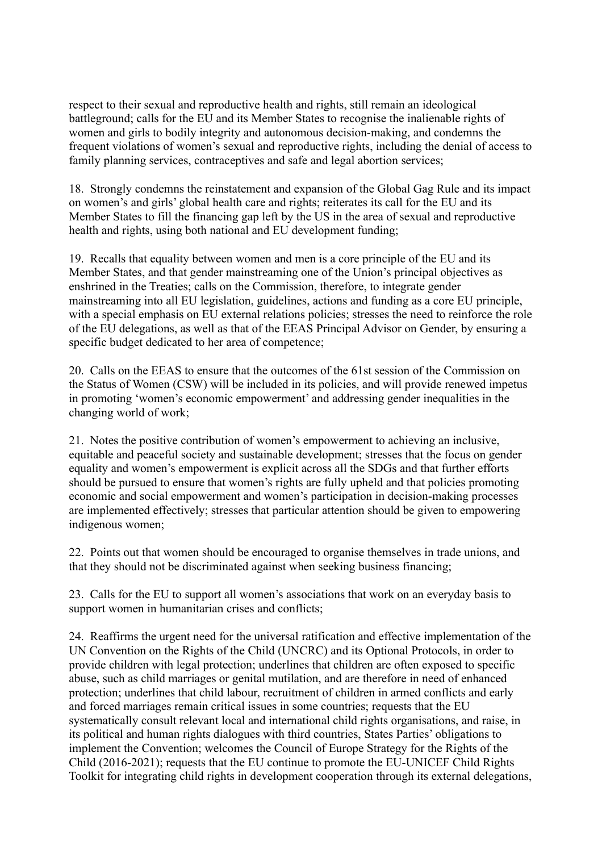respect to their sexual and reproductive health and rights, still remain an ideological battleground; calls for the EU and its Member States to recognise the inalienable rights of women and girls to bodily integrity and autonomous decision-making, and condemns the frequent violations of women's sexual and reproductive rights, including the denial of access to family planning services, contraceptives and safe and legal abortion services;

18. Strongly condemns the reinstatement and expansion of the Global Gag Rule and its impact on women's and girls' global health care and rights; reiterates its call for the EU and its Member States to fill the financing gap left by the US in the area of sexual and reproductive health and rights, using both national and EU development funding;

19. Recalls that equality between women and men is a core principle of the EU and its Member States, and that gender mainstreaming one of the Union's principal objectives as enshrined in the Treaties; calls on the Commission, therefore, to integrate gender mainstreaming into all EU legislation, guidelines, actions and funding as a core EU principle, with a special emphasis on EU external relations policies; stresses the need to reinforce the role of the EU delegations, as well as that of the EEAS Principal Advisor on Gender, by ensuring a specific budget dedicated to her area of competence;

20. Calls on the EEAS to ensure that the outcomes of the 61st session of the Commission on the Status of Women (CSW) will be included in its policies, and will provide renewed impetus in promoting 'women's economic empowerment' and addressing gender inequalities in the changing world of work;

21. Notes the positive contribution of women's empowerment to achieving an inclusive, equitable and peaceful society and sustainable development; stresses that the focus on gender equality and women's empowerment is explicit across all the SDGs and that further efforts should be pursued to ensure that women's rights are fully upheld and that policies promoting economic and social empowerment and women's participation in decision-making processes are implemented effectively; stresses that particular attention should be given to empowering indigenous women;

22. Points out that women should be encouraged to organise themselves in trade unions, and that they should not be discriminated against when seeking business financing;

23. Calls for the EU to support all women's associations that work on an everyday basis to support women in humanitarian crises and conflicts;

24. Reaffirms the urgent need for the universal ratification and effective implementation of the UN Convention on the Rights of the Child (UNCRC) and its Optional Protocols, in order to provide children with legal protection; underlines that children are often exposed to specific abuse, such as child marriages or genital mutilation, and are therefore in need of enhanced protection; underlines that child labour, recruitment of children in armed conflicts and early and forced marriages remain critical issues in some countries; requests that the EU systematically consult relevant local and international child rights organisations, and raise, in its political and human rights dialogues with third countries, States Parties' obligations to implement the Convention; welcomes the Council of Europe Strategy for the Rights of the Child (2016-2021); requests that the EU continue to promote the EU-UNICEF Child Rights Toolkit for integrating child rights in development cooperation through its external delegations,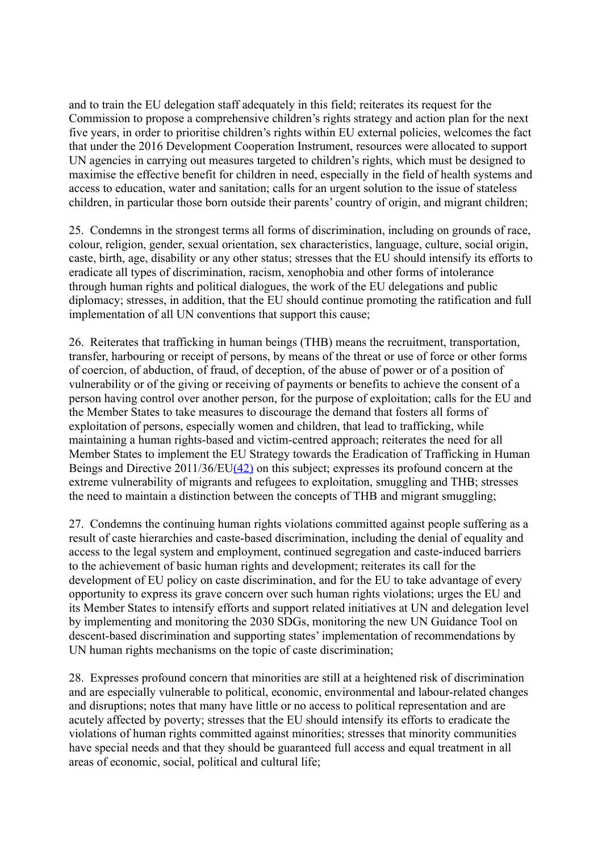and to train the EU delegation staff adequately in this field; reiterates its request for the Commission to propose a comprehensive children's rights strategy and action plan for the next five years, in order to prioritise children's rights within EU external policies, welcomes the fact that under the 2016 Development Cooperation Instrument, resources were allocated to support UN agencies in carrying out measures targeted to children's rights, which must be designed to maximise the effective benefit for children in need, especially in the field of health systems and access to education, water and sanitation; calls for an urgent solution to the issue of stateless children, in particular those born outside their parents' country of origin, and migrant children;

25. Condemns in the strongest terms all forms of discrimination, including on grounds of race, colour, religion, gender, sexual orientation, sex characteristics, language, culture, social origin, caste, birth, age, disability or any other status; stresses that the EU should intensify its efforts to eradicate all types of discrimination, racism, xenophobia and other forms of intolerance through human rights and political dialogues, the work of the EU delegations and public diplomacy; stresses, in addition, that the EU should continue promoting the ratification and full implementation of all UN conventions that support this cause;

26. Reiterates that trafficking in human beings (THB) means the recruitment, transportation, transfer, harbouring or receipt of persons, by means of the threat or use of force or other forms of coercion, of abduction, of fraud, of deception, of the abuse of power or of a position of vulnerability or of the giving or receiving of payments or benefits to achieve the consent of a person having control over another person, for the purpose of exploitation; calls for the EU and the Member States to take measures to discourage the demand that fosters all forms of exploitation of persons, especially women and children, that lead to trafficking, while maintaining a human rights-based and victim-centred approach; reiterates the need for all Member States to implement the EU Strategy towards the Eradication of Trafficking in Human Beings and Directive 2011/36/E[U\(42\)](http://www.europarl.europa.eu/sides/getDoc.do?pubRef=-//EP//TEXT+TA+P8-TA-2017-0494+0+DOC+XML+V0//EN#def_1_42) on this subject; expresses its profound concern at the extreme vulnerability of migrants and refugees to exploitation, smuggling and THB; stresses the need to maintain a distinction between the concepts of THB and migrant smuggling;

27. Condemns the continuing human rights violations committed against people suffering as a result of caste hierarchies and caste-based discrimination, including the denial of equality and access to the legal system and employment, continued segregation and caste-induced barriers to the achievement of basic human rights and development; reiterates its call for the development of EU policy on caste discrimination, and for the EU to take advantage of every opportunity to express its grave concern over such human rights violations; urges the EU and its Member States to intensify efforts and support related initiatives at UN and delegation level by implementing and monitoring the 2030 SDGs, monitoring the new UN Guidance Tool on descent-based discrimination and supporting states' implementation of recommendations by UN human rights mechanisms on the topic of caste discrimination;

28. Expresses profound concern that minorities are still at a heightened risk of discrimination and are especially vulnerable to political, economic, environmental and labour-related changes and disruptions; notes that many have little or no access to political representation and are acutely affected by poverty; stresses that the EU should intensify its efforts to eradicate the violations of human rights committed against minorities; stresses that minority communities have special needs and that they should be guaranteed full access and equal treatment in all areas of economic, social, political and cultural life;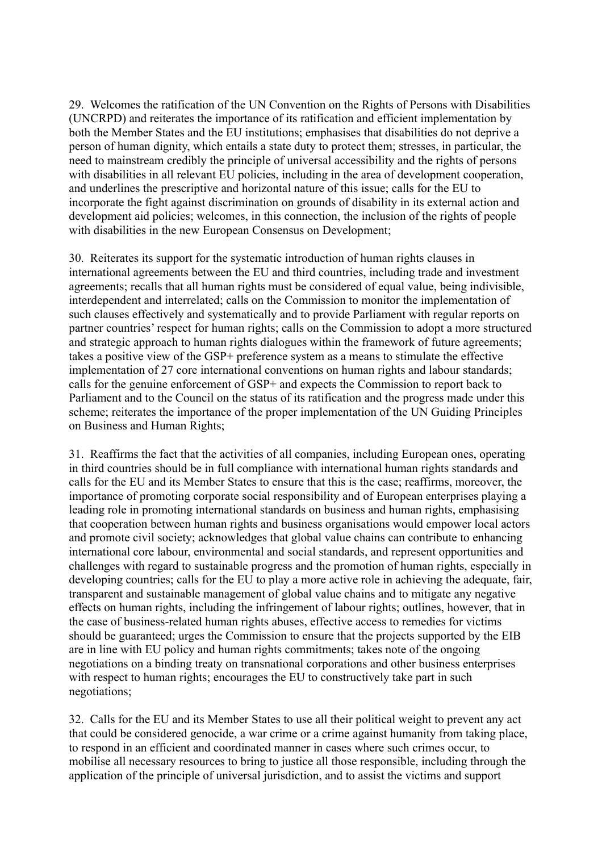29. Welcomes the ratification of the UN Convention on the Rights of Persons with Disabilities (UNCRPD) and reiterates the importance of its ratification and efficient implementation by both the Member States and the EU institutions; emphasises that disabilities do not deprive a person of human dignity, which entails a state duty to protect them; stresses, in particular, the need to mainstream credibly the principle of universal accessibility and the rights of persons with disabilities in all relevant EU policies, including in the area of development cooperation, and underlines the prescriptive and horizontal nature of this issue; calls for the EU to incorporate the fight against discrimination on grounds of disability in its external action and development aid policies; welcomes, in this connection, the inclusion of the rights of people with disabilities in the new European Consensus on Development:

30. Reiterates its support for the systematic introduction of human rights clauses in international agreements between the EU and third countries, including trade and investment agreements; recalls that all human rights must be considered of equal value, being indivisible, interdependent and interrelated; calls on the Commission to monitor the implementation of such clauses effectively and systematically and to provide Parliament with regular reports on partner countries' respect for human rights; calls on the Commission to adopt a more structured and strategic approach to human rights dialogues within the framework of future agreements; takes a positive view of the GSP+ preference system as a means to stimulate the effective implementation of 27 core international conventions on human rights and labour standards; calls for the genuine enforcement of GSP+ and expects the Commission to report back to Parliament and to the Council on the status of its ratification and the progress made under this scheme; reiterates the importance of the proper implementation of the UN Guiding Principles on Business and Human Rights;

31. Reaffirms the fact that the activities of all companies, including European ones, operating in third countries should be in full compliance with international human rights standards and calls for the EU and its Member States to ensure that this is the case; reaffirms, moreover, the importance of promoting corporate social responsibility and of European enterprises playing a leading role in promoting international standards on business and human rights, emphasising that cooperation between human rights and business organisations would empower local actors and promote civil society; acknowledges that global value chains can contribute to enhancing international core labour, environmental and social standards, and represent opportunities and challenges with regard to sustainable progress and the promotion of human rights, especially in developing countries; calls for the EU to play a more active role in achieving the adequate, fair, transparent and sustainable management of global value chains and to mitigate any negative effects on human rights, including the infringement of labour rights; outlines, however, that in the case of business-related human rights abuses, effective access to remedies for victims should be guaranteed; urges the Commission to ensure that the projects supported by the EIB are in line with EU policy and human rights commitments; takes note of the ongoing negotiations on a binding treaty on transnational corporations and other business enterprises with respect to human rights; encourages the EU to constructively take part in such negotiations;

32. Calls for the EU and its Member States to use all their political weight to prevent any act that could be considered genocide, a war crime or a crime against humanity from taking place, to respond in an efficient and coordinated manner in cases where such crimes occur, to mobilise all necessary resources to bring to justice all those responsible, including through the application of the principle of universal jurisdiction, and to assist the victims and support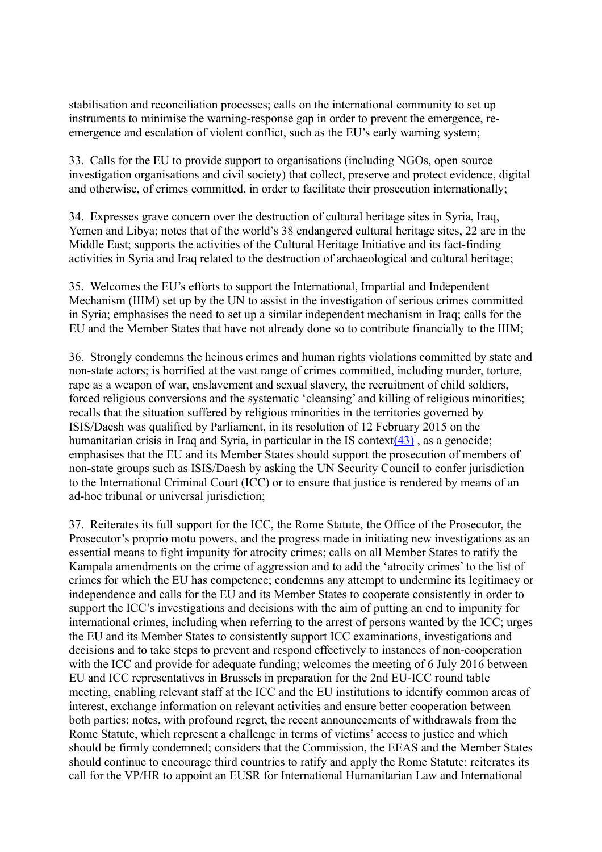stabilisation and reconciliation processes; calls on the international community to set up instruments to minimise the warning-response gap in order to prevent the emergence, reemergence and escalation of violent conflict, such as the EU's early warning system;

33. Calls for the EU to provide support to organisations (including NGOs, open source investigation organisations and civil society) that collect, preserve and protect evidence, digital and otherwise, of crimes committed, in order to facilitate their prosecution internationally;

34. Expresses grave concern over the destruction of cultural heritage sites in Syria, Iraq, Yemen and Libya; notes that of the world's 38 endangered cultural heritage sites, 22 are in the Middle East; supports the activities of the Cultural Heritage Initiative and its fact-finding activities in Syria and Iraq related to the destruction of archaeological and cultural heritage;

35. Welcomes the EU's efforts to support the International, Impartial and Independent Mechanism (IIIM) set up by the UN to assist in the investigation of serious crimes committed in Syria; emphasises the need to set up a similar independent mechanism in Iraq; calls for the EU and the Member States that have not already done so to contribute financially to the IIIM;

36. Strongly condemns the heinous crimes and human rights violations committed by state and non-state actors; is horrified at the vast range of crimes committed, including murder, torture, rape as a weapon of war, enslavement and sexual slavery, the recruitment of child soldiers, forced religious conversions and the systematic 'cleansing' and killing of religious minorities; recalls that the situation suffered by religious minorities in the territories governed by ISIS/Daesh was qualified by Parliament, in its resolution of 12 February 2015 on the humanitarian crisis in Iraq and Syria, in particular in the IS context( $43$ ), as a genocide; emphasises that the EU and its Member States should support the prosecution of members of non-state groups such as ISIS/Daesh by asking the UN Security Council to confer jurisdiction to the International Criminal Court (ICC) or to ensure that justice is rendered by means of an ad-hoc tribunal or universal jurisdiction;

37. Reiterates its full support for the ICC, the Rome Statute, the Office of the Prosecutor, the Prosecutor's proprio motu powers, and the progress made in initiating new investigations as an essential means to fight impunity for atrocity crimes; calls on all Member States to ratify the Kampala amendments on the crime of aggression and to add the 'atrocity crimes' to the list of crimes for which the EU has competence; condemns any attempt to undermine its legitimacy or independence and calls for the EU and its Member States to cooperate consistently in order to support the ICC's investigations and decisions with the aim of putting an end to impunity for international crimes, including when referring to the arrest of persons wanted by the ICC; urges the EU and its Member States to consistently support ICC examinations, investigations and decisions and to take steps to prevent and respond effectively to instances of non-cooperation with the ICC and provide for adequate funding; welcomes the meeting of 6 July 2016 between EU and ICC representatives in Brussels in preparation for the 2nd EU-ICC round table meeting, enabling relevant staff at the ICC and the EU institutions to identify common areas of interest, exchange information on relevant activities and ensure better cooperation between both parties; notes, with profound regret, the recent announcements of withdrawals from the Rome Statute, which represent a challenge in terms of victims' access to justice and which should be firmly condemned; considers that the Commission, the EEAS and the Member States should continue to encourage third countries to ratify and apply the Rome Statute; reiterates its call for the VP/HR to appoint an EUSR for International Humanitarian Law and International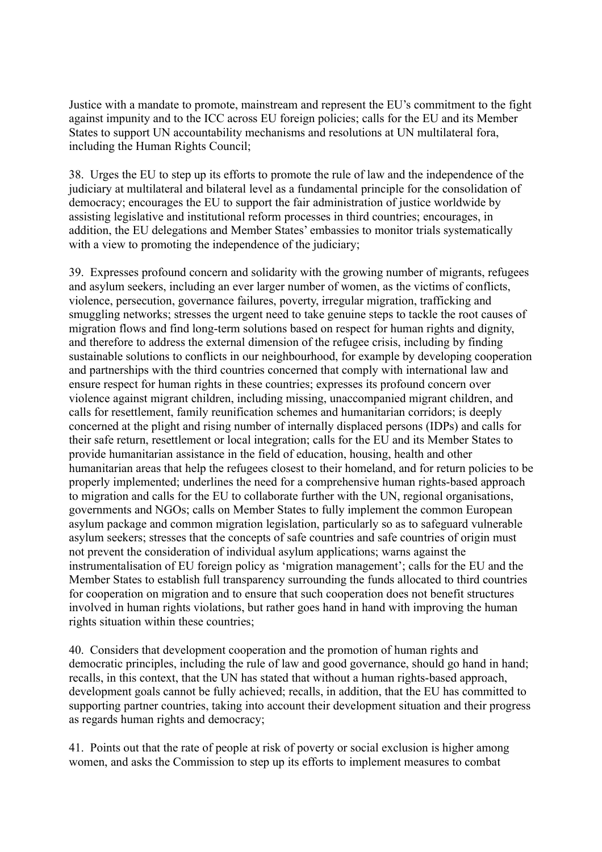Justice with a mandate to promote, mainstream and represent the EU's commitment to the fight against impunity and to the ICC across EU foreign policies; calls for the EU and its Member States to support UN accountability mechanisms and resolutions at UN multilateral fora, including the Human Rights Council;

38. Urges the EU to step up its efforts to promote the rule of law and the independence of the judiciary at multilateral and bilateral level as a fundamental principle for the consolidation of democracy; encourages the EU to support the fair administration of justice worldwide by assisting legislative and institutional reform processes in third countries; encourages, in addition, the EU delegations and Member States' embassies to monitor trials systematically with a view to promoting the independence of the judiciary;

39. Expresses profound concern and solidarity with the growing number of migrants, refugees and asylum seekers, including an ever larger number of women, as the victims of conflicts, violence, persecution, governance failures, poverty, irregular migration, trafficking and smuggling networks; stresses the urgent need to take genuine steps to tackle the root causes of migration flows and find long-term solutions based on respect for human rights and dignity, and therefore to address the external dimension of the refugee crisis, including by finding sustainable solutions to conflicts in our neighbourhood, for example by developing cooperation and partnerships with the third countries concerned that comply with international law and ensure respect for human rights in these countries; expresses its profound concern over violence against migrant children, including missing, unaccompanied migrant children, and calls for resettlement, family reunification schemes and humanitarian corridors; is deeply concerned at the plight and rising number of internally displaced persons (IDPs) and calls for their safe return, resettlement or local integration; calls for the EU and its Member States to provide humanitarian assistance in the field of education, housing, health and other humanitarian areas that help the refugees closest to their homeland, and for return policies to be properly implemented; underlines the need for a comprehensive human rights-based approach to migration and calls for the EU to collaborate further with the UN, regional organisations, governments and NGOs; calls on Member States to fully implement the common European asylum package and common migration legislation, particularly so as to safeguard vulnerable asylum seekers; stresses that the concepts of safe countries and safe countries of origin must not prevent the consideration of individual asylum applications; warns against the instrumentalisation of EU foreign policy as 'migration management'; calls for the EU and the Member States to establish full transparency surrounding the funds allocated to third countries for cooperation on migration and to ensure that such cooperation does not benefit structures involved in human rights violations, but rather goes hand in hand with improving the human rights situation within these countries;

40. Considers that development cooperation and the promotion of human rights and democratic principles, including the rule of law and good governance, should go hand in hand; recalls, in this context, that the UN has stated that without a human rights-based approach, development goals cannot be fully achieved; recalls, in addition, that the EU has committed to supporting partner countries, taking into account their development situation and their progress as regards human rights and democracy;

41. Points out that the rate of people at risk of poverty or social exclusion is higher among women, and asks the Commission to step up its efforts to implement measures to combat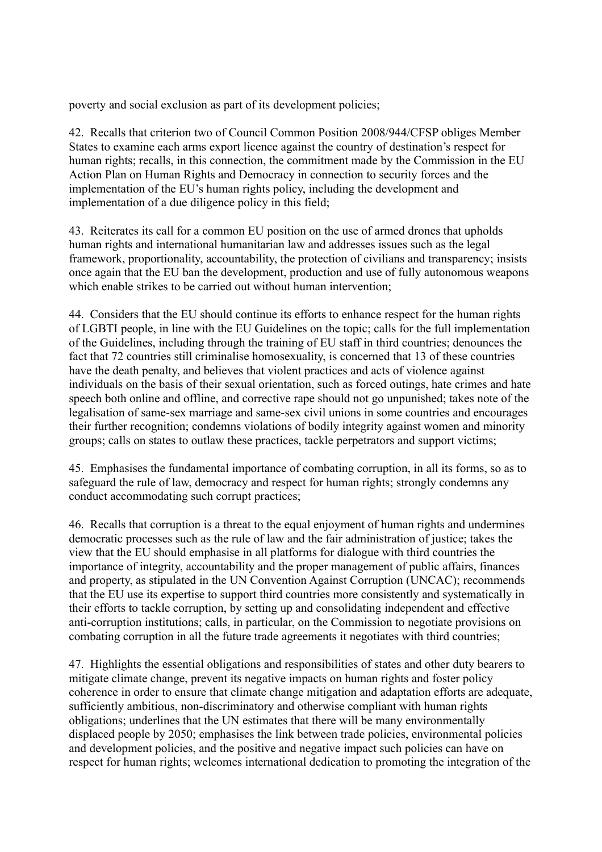poverty and social exclusion as part of its development policies;

42. Recalls that criterion two of Council Common Position 2008/944/CFSP obliges Member States to examine each arms export licence against the country of destination's respect for human rights; recalls, in this connection, the commitment made by the Commission in the EU Action Plan on Human Rights and Democracy in connection to security forces and the implementation of the EU's human rights policy, including the development and implementation of a due diligence policy in this field;

43. Reiterates its call for a common EU position on the use of armed drones that upholds human rights and international humanitarian law and addresses issues such as the legal framework, proportionality, accountability, the protection of civilians and transparency; insists once again that the EU ban the development, production and use of fully autonomous weapons which enable strikes to be carried out without human intervention;

44. Considers that the EU should continue its efforts to enhance respect for the human rights of LGBTI people, in line with the EU Guidelines on the topic; calls for the full implementation of the Guidelines, including through the training of EU staff in third countries; denounces the fact that 72 countries still criminalise homosexuality, is concerned that 13 of these countries have the death penalty, and believes that violent practices and acts of violence against individuals on the basis of their sexual orientation, such as forced outings, hate crimes and hate speech both online and offline, and corrective rape should not go unpunished; takes note of the legalisation of same-sex marriage and same-sex civil unions in some countries and encourages their further recognition; condemns violations of bodily integrity against women and minority groups; calls on states to outlaw these practices, tackle perpetrators and support victims;

45. Emphasises the fundamental importance of combating corruption, in all its forms, so as to safeguard the rule of law, democracy and respect for human rights; strongly condemns any conduct accommodating such corrupt practices;

46. Recalls that corruption is a threat to the equal enjoyment of human rights and undermines democratic processes such as the rule of law and the fair administration of justice; takes the view that the EU should emphasise in all platforms for dialogue with third countries the importance of integrity, accountability and the proper management of public affairs, finances and property, as stipulated in the UN Convention Against Corruption (UNCAC); recommends that the EU use its expertise to support third countries more consistently and systematically in their efforts to tackle corruption, by setting up and consolidating independent and effective anti-corruption institutions; calls, in particular, on the Commission to negotiate provisions on combating corruption in all the future trade agreements it negotiates with third countries;

47. Highlights the essential obligations and responsibilities of states and other duty bearers to mitigate climate change, prevent its negative impacts on human rights and foster policy coherence in order to ensure that climate change mitigation and adaptation efforts are adequate, sufficiently ambitious, non-discriminatory and otherwise compliant with human rights obligations; underlines that the UN estimates that there will be many environmentally displaced people by 2050; emphasises the link between trade policies, environmental policies and development policies, and the positive and negative impact such policies can have on respect for human rights; welcomes international dedication to promoting the integration of the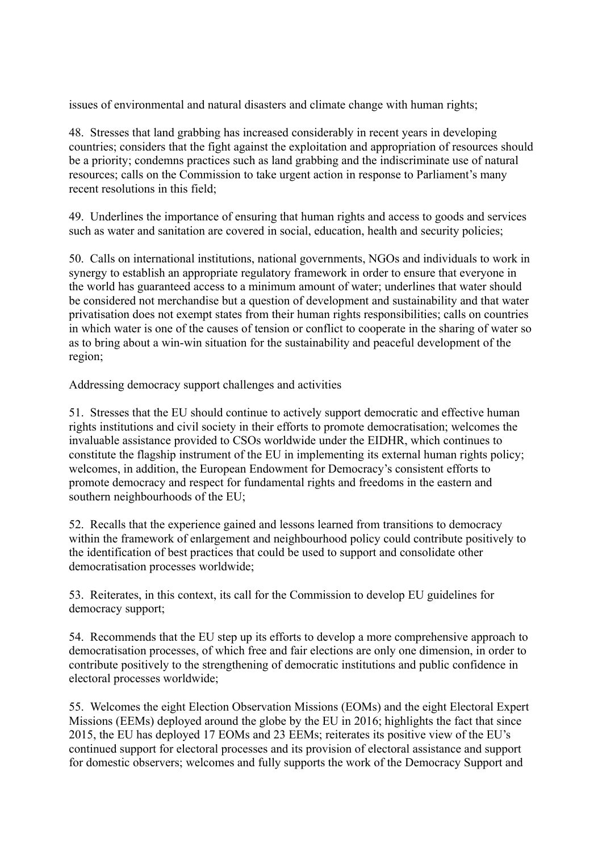issues of environmental and natural disasters and climate change with human rights;

48. Stresses that land grabbing has increased considerably in recent years in developing countries; considers that the fight against the exploitation and appropriation of resources should be a priority; condemns practices such as land grabbing and the indiscriminate use of natural resources; calls on the Commission to take urgent action in response to Parliament's many recent resolutions in this field;

49. Underlines the importance of ensuring that human rights and access to goods and services such as water and sanitation are covered in social, education, health and security policies;

50. Calls on international institutions, national governments, NGOs and individuals to work in synergy to establish an appropriate regulatory framework in order to ensure that everyone in the world has guaranteed access to a minimum amount of water; underlines that water should be considered not merchandise but a question of development and sustainability and that water privatisation does not exempt states from their human rights responsibilities; calls on countries in which water is one of the causes of tension or conflict to cooperate in the sharing of water so as to bring about a win-win situation for the sustainability and peaceful development of the region;

Addressing democracy support challenges and activities

51. Stresses that the EU should continue to actively support democratic and effective human rights institutions and civil society in their efforts to promote democratisation; welcomes the invaluable assistance provided to CSOs worldwide under the EIDHR, which continues to constitute the flagship instrument of the EU in implementing its external human rights policy; welcomes, in addition, the European Endowment for Democracy's consistent efforts to promote democracy and respect for fundamental rights and freedoms in the eastern and southern neighbourhoods of the EU;

52. Recalls that the experience gained and lessons learned from transitions to democracy within the framework of enlargement and neighbourhood policy could contribute positively to the identification of best practices that could be used to support and consolidate other democratisation processes worldwide;

53. Reiterates, in this context, its call for the Commission to develop EU guidelines for democracy support;

54. Recommends that the EU step up its efforts to develop a more comprehensive approach to democratisation processes, of which free and fair elections are only one dimension, in order to contribute positively to the strengthening of democratic institutions and public confidence in electoral processes worldwide;

55. Welcomes the eight Election Observation Missions (EOMs) and the eight Electoral Expert Missions (EEMs) deployed around the globe by the EU in 2016; highlights the fact that since 2015, the EU has deployed 17 EOMs and 23 EEMs; reiterates its positive view of the EU's continued support for electoral processes and its provision of electoral assistance and support for domestic observers; welcomes and fully supports the work of the Democracy Support and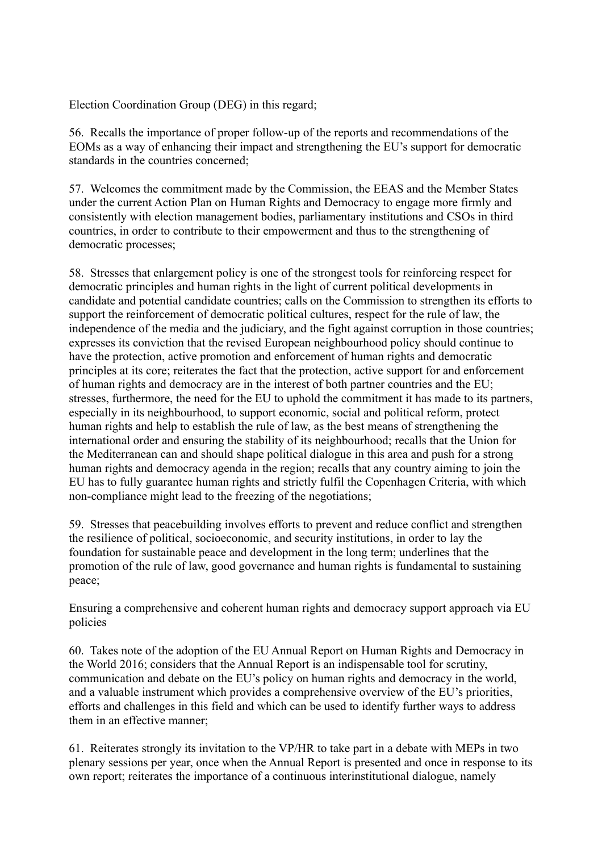Election Coordination Group (DEG) in this regard;

56. Recalls the importance of proper follow-up of the reports and recommendations of the EOMs as a way of enhancing their impact and strengthening the EU's support for democratic standards in the countries concerned;

57. Welcomes the commitment made by the Commission, the EEAS and the Member States under the current Action Plan on Human Rights and Democracy to engage more firmly and consistently with election management bodies, parliamentary institutions and CSOs in third countries, in order to contribute to their empowerment and thus to the strengthening of democratic processes;

58. Stresses that enlargement policy is one of the strongest tools for reinforcing respect for democratic principles and human rights in the light of current political developments in candidate and potential candidate countries; calls on the Commission to strengthen its efforts to support the reinforcement of democratic political cultures, respect for the rule of law, the independence of the media and the judiciary, and the fight against corruption in those countries; expresses its conviction that the revised European neighbourhood policy should continue to have the protection, active promotion and enforcement of human rights and democratic principles at its core; reiterates the fact that the protection, active support for and enforcement of human rights and democracy are in the interest of both partner countries and the EU; stresses, furthermore, the need for the EU to uphold the commitment it has made to its partners, especially in its neighbourhood, to support economic, social and political reform, protect human rights and help to establish the rule of law, as the best means of strengthening the international order and ensuring the stability of its neighbourhood; recalls that the Union for the Mediterranean can and should shape political dialogue in this area and push for a strong human rights and democracy agenda in the region; recalls that any country aiming to join the EU has to fully guarantee human rights and strictly fulfil the Copenhagen Criteria, with which non-compliance might lead to the freezing of the negotiations;

59. Stresses that peacebuilding involves efforts to prevent and reduce conflict and strengthen the resilience of political, socioeconomic, and security institutions, in order to lay the foundation for sustainable peace and development in the long term; underlines that the promotion of the rule of law, good governance and human rights is fundamental to sustaining peace;

Ensuring a comprehensive and coherent human rights and democracy support approach via EU policies

60. Takes note of the adoption of the EU Annual Report on Human Rights and Democracy in the World 2016; considers that the Annual Report is an indispensable tool for scrutiny, communication and debate on the EU's policy on human rights and democracy in the world, and a valuable instrument which provides a comprehensive overview of the EU's priorities, efforts and challenges in this field and which can be used to identify further ways to address them in an effective manner;

61. Reiterates strongly its invitation to the VP/HR to take part in a debate with MEPs in two plenary sessions per year, once when the Annual Report is presented and once in response to its own report; reiterates the importance of a continuous interinstitutional dialogue, namely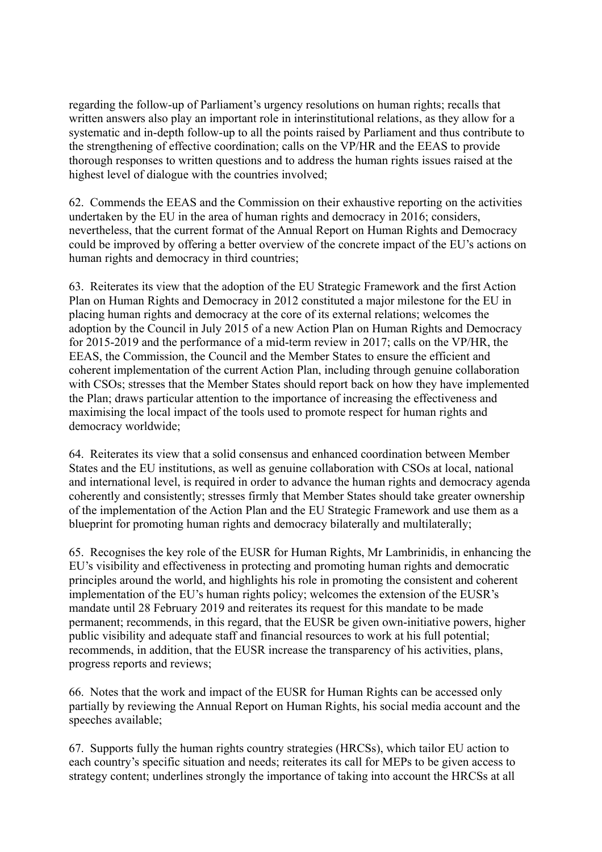regarding the follow-up of Parliament's urgency resolutions on human rights; recalls that written answers also play an important role in interinstitutional relations, as they allow for a systematic and in-depth follow-up to all the points raised by Parliament and thus contribute to the strengthening of effective coordination; calls on the VP/HR and the EEAS to provide thorough responses to written questions and to address the human rights issues raised at the highest level of dialogue with the countries involved;

62. Commends the EEAS and the Commission on their exhaustive reporting on the activities undertaken by the EU in the area of human rights and democracy in 2016; considers, nevertheless, that the current format of the Annual Report on Human Rights and Democracy could be improved by offering a better overview of the concrete impact of the EU's actions on human rights and democracy in third countries;

63. Reiterates its view that the adoption of the EU Strategic Framework and the first Action Plan on Human Rights and Democracy in 2012 constituted a major milestone for the EU in placing human rights and democracy at the core of its external relations; welcomes the adoption by the Council in July 2015 of a new Action Plan on Human Rights and Democracy for 2015-2019 and the performance of a mid-term review in 2017; calls on the VP/HR, the EEAS, the Commission, the Council and the Member States to ensure the efficient and coherent implementation of the current Action Plan, including through genuine collaboration with CSOs; stresses that the Member States should report back on how they have implemented the Plan; draws particular attention to the importance of increasing the effectiveness and maximising the local impact of the tools used to promote respect for human rights and democracy worldwide;

64. Reiterates its view that a solid consensus and enhanced coordination between Member States and the EU institutions, as well as genuine collaboration with CSOs at local, national and international level, is required in order to advance the human rights and democracy agenda coherently and consistently; stresses firmly that Member States should take greater ownership of the implementation of the Action Plan and the EU Strategic Framework and use them as a blueprint for promoting human rights and democracy bilaterally and multilaterally;

65. Recognises the key role of the EUSR for Human Rights, Mr Lambrinidis, in enhancing the EU's visibility and effectiveness in protecting and promoting human rights and democratic principles around the world, and highlights his role in promoting the consistent and coherent implementation of the EU's human rights policy; welcomes the extension of the EUSR's mandate until 28 February 2019 and reiterates its request for this mandate to be made permanent; recommends, in this regard, that the EUSR be given own-initiative powers, higher public visibility and adequate staff and financial resources to work at his full potential; recommends, in addition, that the EUSR increase the transparency of his activities, plans, progress reports and reviews;

66. Notes that the work and impact of the EUSR for Human Rights can be accessed only partially by reviewing the Annual Report on Human Rights, his social media account and the speeches available;

67. Supports fully the human rights country strategies (HRCSs), which tailor EU action to each country's specific situation and needs; reiterates its call for MEPs to be given access to strategy content; underlines strongly the importance of taking into account the HRCSs at all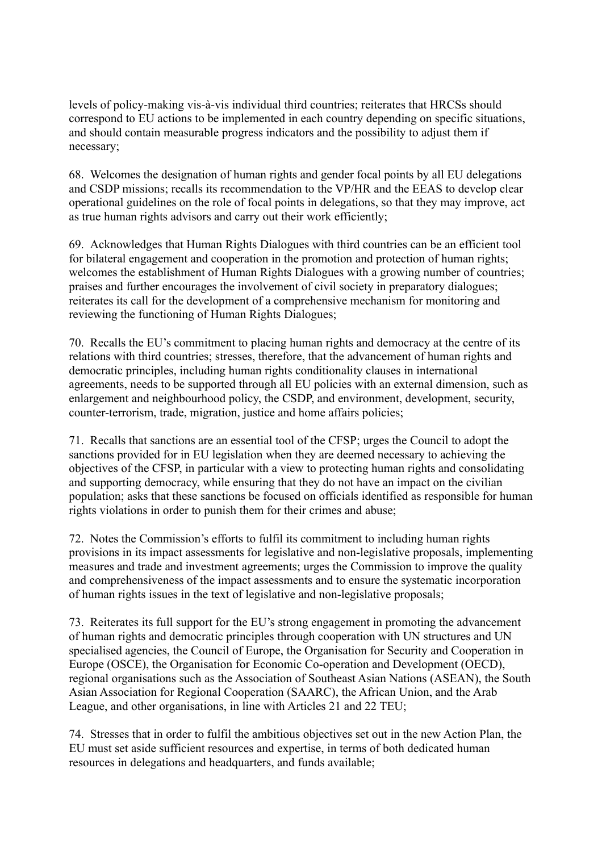levels of policy-making vis-à-vis individual third countries; reiterates that HRCSs should correspond to EU actions to be implemented in each country depending on specific situations, and should contain measurable progress indicators and the possibility to adjust them if necessary;

68. Welcomes the designation of human rights and gender focal points by all EU delegations and CSDP missions; recalls its recommendation to the VP/HR and the EEAS to develop clear operational guidelines on the role of focal points in delegations, so that they may improve, act as true human rights advisors and carry out their work efficiently;

69. Acknowledges that Human Rights Dialogues with third countries can be an efficient tool for bilateral engagement and cooperation in the promotion and protection of human rights; welcomes the establishment of Human Rights Dialogues with a growing number of countries; praises and further encourages the involvement of civil society in preparatory dialogues; reiterates its call for the development of a comprehensive mechanism for monitoring and reviewing the functioning of Human Rights Dialogues;

70. Recalls the EU's commitment to placing human rights and democracy at the centre of its relations with third countries; stresses, therefore, that the advancement of human rights and democratic principles, including human rights conditionality clauses in international agreements, needs to be supported through all EU policies with an external dimension, such as enlargement and neighbourhood policy, the CSDP, and environment, development, security, counter-terrorism, trade, migration, justice and home affairs policies;

71. Recalls that sanctions are an essential tool of the CFSP; urges the Council to adopt the sanctions provided for in EU legislation when they are deemed necessary to achieving the objectives of the CFSP, in particular with a view to protecting human rights and consolidating and supporting democracy, while ensuring that they do not have an impact on the civilian population; asks that these sanctions be focused on officials identified as responsible for human rights violations in order to punish them for their crimes and abuse;

72. Notes the Commission's efforts to fulfil its commitment to including human rights provisions in its impact assessments for legislative and non-legislative proposals, implementing measures and trade and investment agreements; urges the Commission to improve the quality and comprehensiveness of the impact assessments and to ensure the systematic incorporation of human rights issues in the text of legislative and non-legislative proposals;

73. Reiterates its full support for the EU's strong engagement in promoting the advancement of human rights and democratic principles through cooperation with UN structures and UN specialised agencies, the Council of Europe, the Organisation for Security and Cooperation in Europe (OSCE), the Organisation for Economic Co-operation and Development (OECD), regional organisations such as the Association of Southeast Asian Nations (ASEAN), the South Asian Association for Regional Cooperation (SAARC), the African Union, and the Arab League, and other organisations, in line with Articles 21 and 22 TEU;

74. Stresses that in order to fulfil the ambitious objectives set out in the new Action Plan, the EU must set aside sufficient resources and expertise, in terms of both dedicated human resources in delegations and headquarters, and funds available;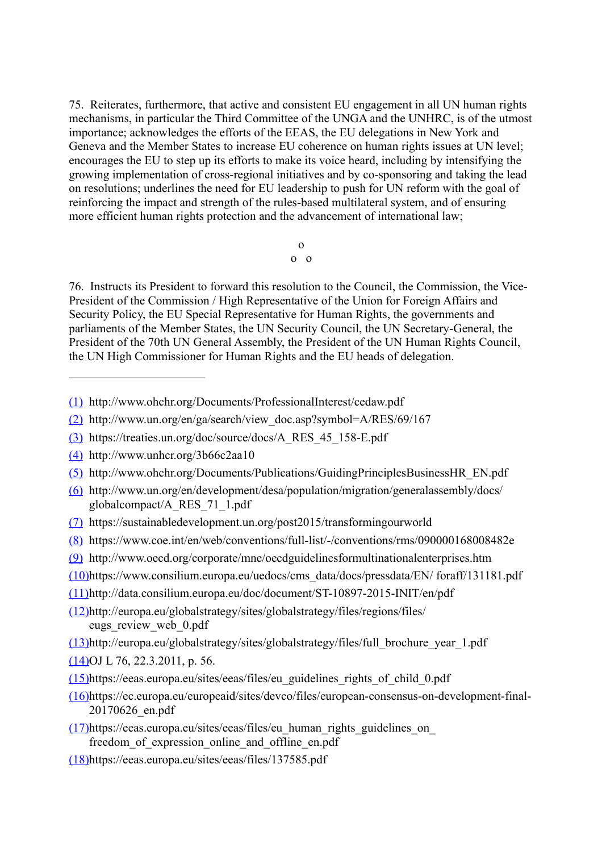75. Reiterates, furthermore, that active and consistent EU engagement in all UN human rights mechanisms, in particular the Third Committee of the UNGA and the UNHRC, is of the utmost importance; acknowledges the efforts of the EEAS, the EU delegations in New York and Geneva and the Member States to increase EU coherence on human rights issues at UN level; encourages the EU to step up its efforts to make its voice heard, including by intensifying the growing implementation of cross-regional initiatives and by co-sponsoring and taking the lead on resolutions; underlines the need for EU leadership to push for UN reform with the goal of reinforcing the impact and strength of the rules-based multilateral system, and of ensuring more efficient human rights protection and the advancement of international law;

> o o o

76. Instructs its President to forward this resolution to the Council, the Commission, the Vice-President of the Commission / High Representative of the Union for Foreign Affairs and Security Policy, the EU Special Representative for Human Rights, the governments and parliaments of the Member States, the UN Security Council, the UN Secretary-General, the President of the 70th UN General Assembly, the President of the UN Human Rights Council, the UN High Commissioner for Human Rights and the EU heads of delegation.

- [\(1\)](http://www.europarl.europa.eu/sides/getDoc.do?pubRef=-//EP//TEXT+TA+P8-TA-2017-0494+0+DOC+XML+V0//EN#ref_1_1) http://www.ohchr.org/Documents/ProfessionalInterest/cedaw.pdf
- [\(2\)](http://www.europarl.europa.eu/sides/getDoc.do?pubRef=-//EP//TEXT+TA+P8-TA-2017-0494+0+DOC+XML+V0//EN#ref_1_2) http://www.un.org/en/ga/search/view\_doc.asp?symbol=A/RES/69/167
- [\(3\)](http://www.europarl.europa.eu/sides/getDoc.do?pubRef=-//EP//TEXT+TA+P8-TA-2017-0494+0+DOC+XML+V0//EN#ref_1_3) https://treaties.un.org/doc/source/docs/A\_RES\_45\_158-E.pdf
- [\(4\)](http://www.europarl.europa.eu/sides/getDoc.do?pubRef=-//EP//TEXT+TA+P8-TA-2017-0494+0+DOC+XML+V0//EN#ref_1_4) http://www.unhcr.org/3b66c2aa10
- [\(5\)](http://www.europarl.europa.eu/sides/getDoc.do?pubRef=-//EP//TEXT+TA+P8-TA-2017-0494+0+DOC+XML+V0//EN#ref_1_5) http://www.ohchr.org/Documents/Publications/GuidingPrinciplesBusinessHR\_EN.pdf
- [\(6\)](http://www.europarl.europa.eu/sides/getDoc.do?pubRef=-//EP//TEXT+TA+P8-TA-2017-0494+0+DOC+XML+V0//EN#ref_1_6) http://www.un.org/en/development/desa/population/migration/generalassembly/docs/ globalcompact/A\_RES\_71\_1.pdf
- [\(7\)](http://www.europarl.europa.eu/sides/getDoc.do?pubRef=-//EP//TEXT+TA+P8-TA-2017-0494+0+DOC+XML+V0//EN#ref_1_7) https://sustainabledevelopment.un.org/post2015/transformingourworld
- [\(8\)](http://www.europarl.europa.eu/sides/getDoc.do?pubRef=-//EP//TEXT+TA+P8-TA-2017-0494+0+DOC+XML+V0//EN#ref_1_8) https://www.coe.int/en/web/conventions/full-list/-/conventions/rms/090000168008482e
- [\(9\)](http://www.europarl.europa.eu/sides/getDoc.do?pubRef=-//EP//TEXT+TA+P8-TA-2017-0494+0+DOC+XML+V0//EN#ref_1_9) http://www.oecd.org/corporate/mne/oecdguidelinesformultinationalenterprises.htm
- [\(10\)](http://www.europarl.europa.eu/sides/getDoc.do?pubRef=-//EP//TEXT+TA+P8-TA-2017-0494+0+DOC+XML+V0//EN#ref_1_10)https://www.consilium.europa.eu/uedocs/cms\_data/docs/pressdata/EN/ foraff/131181.pdf
- [\(11\)](http://www.europarl.europa.eu/sides/getDoc.do?pubRef=-//EP//TEXT+TA+P8-TA-2017-0494+0+DOC+XML+V0//EN#ref_1_11)http://data.consilium.europa.eu/doc/document/ST-10897-2015-INIT/en/pdf
- [\(12\)](http://www.europarl.europa.eu/sides/getDoc.do?pubRef=-//EP//TEXT+TA+P8-TA-2017-0494+0+DOC+XML+V0//EN#ref_1_12)http://europa.eu/globalstrategy/sites/globalstrategy/files/regions/files/ eugs\_review\_web\_0.pdf
- [\(13\)](http://www.europarl.europa.eu/sides/getDoc.do?pubRef=-//EP//TEXT+TA+P8-TA-2017-0494+0+DOC+XML+V0//EN#ref_1_13)http://europa.eu/globalstrategy/sites/globalstrategy/files/full\_brochure\_year\_1.pdf
- [\(14\)](http://www.europarl.europa.eu/sides/getDoc.do?pubRef=-//EP//TEXT+TA+P8-TA-2017-0494+0+DOC+XML+V0//EN#ref_1_14)OJ L 76, 22.3.2011, p. 56.
- [\(15\)](http://www.europarl.europa.eu/sides/getDoc.do?pubRef=-//EP//TEXT+TA+P8-TA-2017-0494+0+DOC+XML+V0//EN#ref_1_15)https://eeas.europa.eu/sites/eeas/files/eu\_guidelines\_rights\_of\_child\_0.pdf
- [\(16\)](http://www.europarl.europa.eu/sides/getDoc.do?pubRef=-//EP//TEXT+TA+P8-TA-2017-0494+0+DOC+XML+V0//EN#ref_1_16)https://ec.europa.eu/europeaid/sites/devco/files/european-consensus-on-development-final-20170626\_en.pdf
- [\(17\)](http://www.europarl.europa.eu/sides/getDoc.do?pubRef=-//EP//TEXT+TA+P8-TA-2017-0494+0+DOC+XML+V0//EN#ref_1_17)https://eeas.europa.eu/sites/eeas/files/eu\_human\_rights\_guidelines\_on\_ freedom of expression online and offline en.pdf
- [\(18\)](http://www.europarl.europa.eu/sides/getDoc.do?pubRef=-//EP//TEXT+TA+P8-TA-2017-0494+0+DOC+XML+V0//EN#ref_1_18)https://eeas.europa.eu/sites/eeas/files/137585.pdf